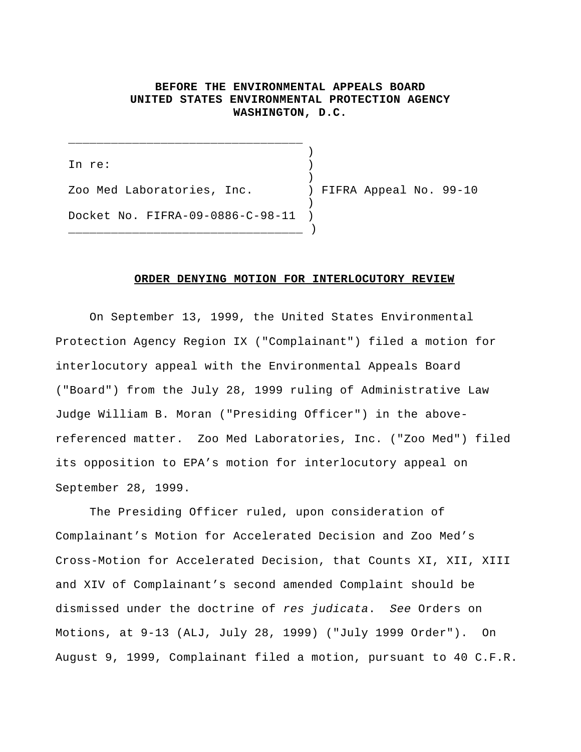## **BEFORE THE ENVIRONMENTAL APPEALS BOARD UNITED STATES ENVIRONMENTAL PROTECTION AGENCY WASHINGTON, D.C.**

) In re: ) ) Zoo Med Laboratories, Inc. ) FIFRA Appeal No. 99-10 ) Docket No. FIFRA-09-0886-C-98-11 )  $\frac{1}{\sqrt{2}}$ 

\_\_\_\_\_\_\_\_\_\_\_\_\_\_\_\_\_\_\_\_\_\_\_\_\_\_\_\_\_\_\_\_\_

## **ORDER DENYING MOTION FOR INTERLOCUTORY REVIEW**

On September 13, 1999, the United States Environmental Protection Agency Region IX ("Complainant") filed a motion for interlocutory appeal with the Environmental Appeals Board ("Board") from the July 28, 1999 ruling of Administrative Law Judge William B. Moran ("Presiding Officer") in the abovereferenced matter. Zoo Med Laboratories, Inc. ("Zoo Med") filed its opposition to EPA's motion for interlocutory appeal on September 28, 1999.

The Presiding Officer ruled, upon consideration of Complainant's Motion for Accelerated Decision and Zoo Med's Cross-Motion for Accelerated Decision, that Counts XI, XII, XIII and XIV of Complainant's second amended Complaint should be dismissed under the doctrine of *res judicata*. *See* Orders on Motions, at 9-13 (ALJ, July 28, 1999) ("July 1999 Order"). On August 9, 1999, Complainant filed a motion, pursuant to 40 C.F.R.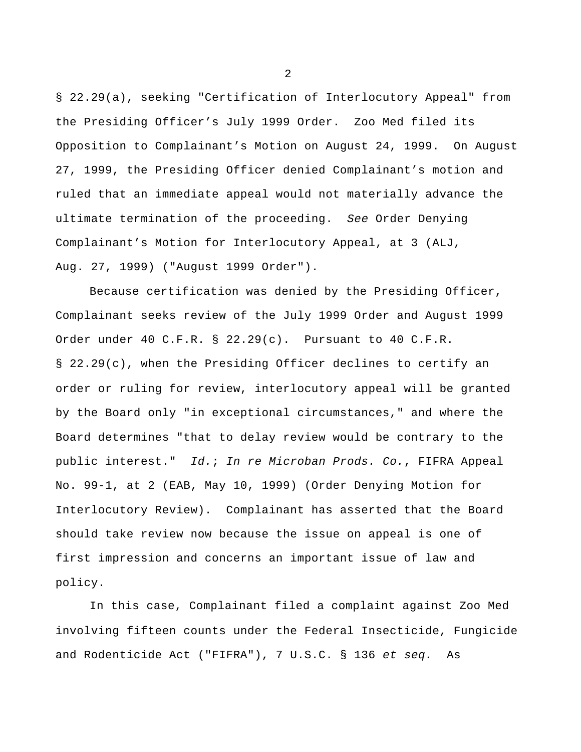§ 22.29(a), seeking "Certification of Interlocutory Appeal" from the Presiding Officer's July 1999 Order. Zoo Med filed its Opposition to Complainant's Motion on August 24, 1999. On August 27, 1999, the Presiding Officer denied Complainant's motion and ruled that an immediate appeal would not materially advance the ultimate termination of the proceeding. *See* Order Denying Complainant's Motion for Interlocutory Appeal, at 3 (ALJ, Aug. 27, 1999) ("August 1999 Order").

Because certification was denied by the Presiding Officer, Complainant seeks review of the July 1999 Order and August 1999 Order under 40 C.F.R. § 22.29(c). Pursuant to 40 C.F.R. § 22.29(c), when the Presiding Officer declines to certify an order or ruling for review, interlocutory appeal will be granted by the Board only "in exceptional circumstances," and where the Board determines "that to delay review would be contrary to the public interest." *Id.*; *In re Microban Prods. Co.*, FIFRA Appeal No. 99-1, at 2 (EAB, May 10, 1999) (Order Denying Motion for Interlocutory Review). Complainant has asserted that the Board should take review now because the issue on appeal is one of first impression and concerns an important issue of law and policy.

In this case, Complainant filed a complaint against Zoo Med involving fifteen counts under the Federal Insecticide, Fungicide and Rodenticide Act ("FIFRA"), 7 U.S.C. § 136 *et seq.* As

2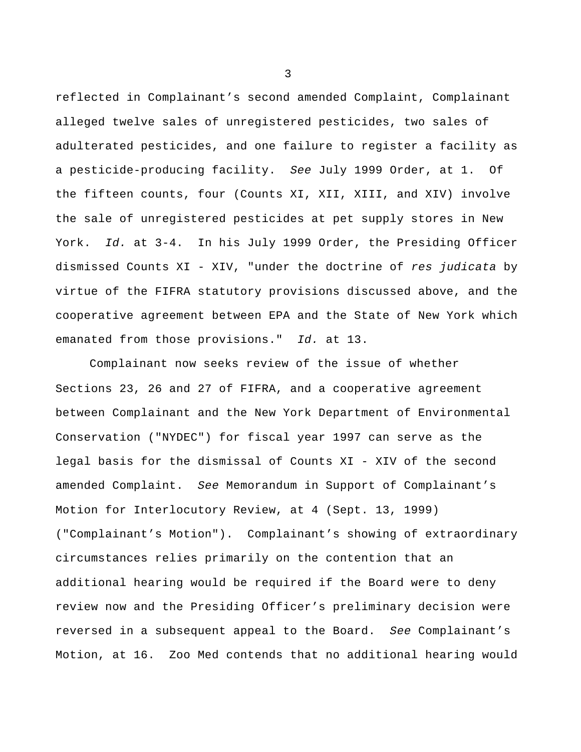reflected in Complainant's second amended Complaint, Complainant alleged twelve sales of unregistered pesticides, two sales of adulterated pesticides, and one failure to register a facility as a pesticide-producing facility. *See* July 1999 Order, at 1. Of the fifteen counts, four (Counts XI, XII, XIII, and XIV) involve the sale of unregistered pesticides at pet supply stores in New York. *Id.* at 3-4. In his July 1999 Order, the Presiding Officer dismissed Counts XI - XIV, "under the doctrine of *res judicata* by virtue of the FIFRA statutory provisions discussed above, and the cooperative agreement between EPA and the State of New York which emanated from those provisions." *Id.* at 13.

Complainant now seeks review of the issue of whether Sections 23, 26 and 27 of FIFRA, and a cooperative agreement between Complainant and the New York Department of Environmental Conservation ("NYDEC") for fiscal year 1997 can serve as the legal basis for the dismissal of Counts XI - XIV of the second amended Complaint. *See* Memorandum in Support of Complainant's Motion for Interlocutory Review, at 4 (Sept. 13, 1999) ("Complainant's Motion"). Complainant's showing of extraordinary circumstances relies primarily on the contention that an additional hearing would be required if the Board were to deny review now and the Presiding Officer's preliminary decision were reversed in a subsequent appeal to the Board. *See* Complainant's Motion, at 16. Zoo Med contends that no additional hearing would

3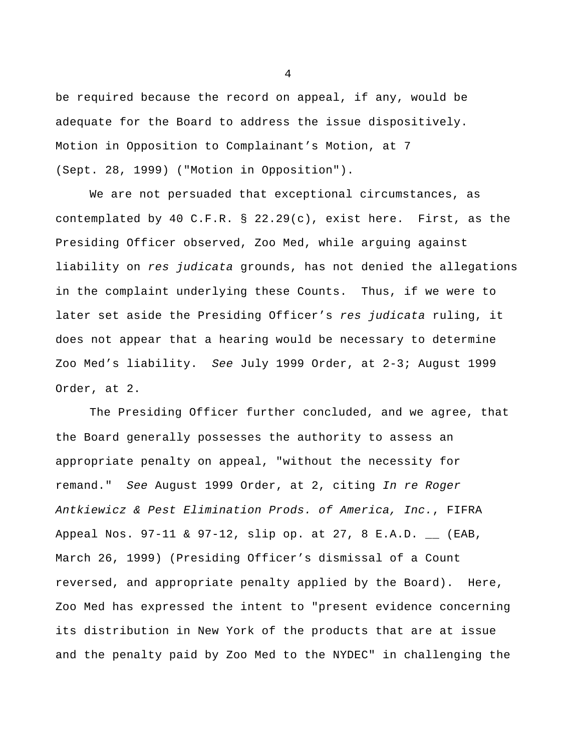be required because the record on appeal, if any, would be adequate for the Board to address the issue dispositively. Motion in Opposition to Complainant's Motion, at 7 (Sept. 28, 1999) ("Motion in Opposition").

We are not persuaded that exceptional circumstances, as contemplated by 40 C.F.R. § 22.29(c), exist here. First, as the Presiding Officer observed, Zoo Med, while arguing against liability on *res judicata* grounds, has not denied the allegations in the complaint underlying these Counts. Thus, if we were to later set aside the Presiding Officer's *res judicata* ruling, it does not appear that a hearing would be necessary to determine Zoo Med's liability. *See* July 1999 Order, at 2-3; August 1999 Order, at 2.

The Presiding Officer further concluded, and we agree, that the Board generally possesses the authority to assess an appropriate penalty on appeal, "without the necessity for remand." *See* August 1999 Order, at 2, citing *In re Roger Antkiewicz & Pest Elimination Prods. of America, Inc.*, FIFRA Appeal Nos. 97-11 & 97-12, slip op. at 27, 8 E.A.D. \_\_ (EAB, March 26, 1999) (Presiding Officer's dismissal of a Count reversed, and appropriate penalty applied by the Board). Here, Zoo Med has expressed the intent to "present evidence concerning its distribution in New York of the products that are at issue and the penalty paid by Zoo Med to the NYDEC" in challenging the

4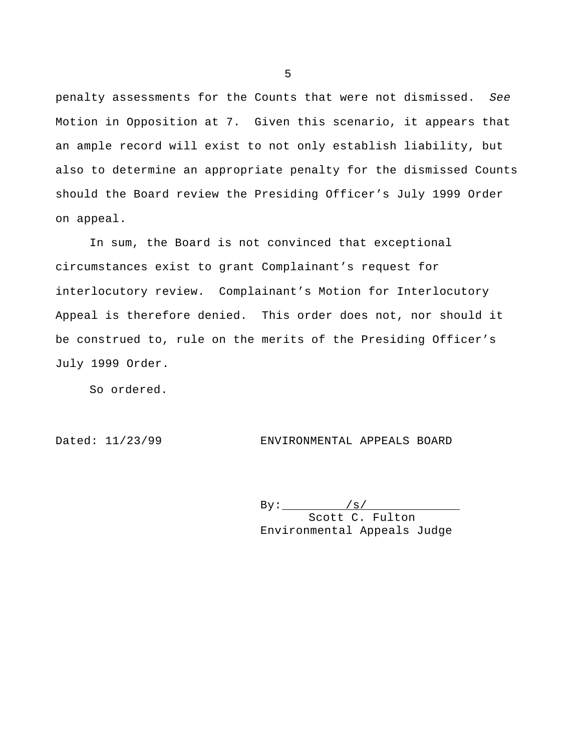penalty assessments for the Counts that were not dismissed. *See* Motion in Opposition at 7. Given this scenario, it appears that an ample record will exist to not only establish liability, but also to determine an appropriate penalty for the dismissed Counts should the Board review the Presiding Officer's July 1999 Order on appeal.

In sum, the Board is not convinced that exceptional circumstances exist to grant Complainant's request for interlocutory review. Complainant's Motion for Interlocutory Appeal is therefore denied. This order does not, nor should it be construed to, rule on the merits of the Presiding Officer's July 1999 Order.

So ordered.

Dated: 11/23/99 ENVIRONMENTAL APPEALS BOARD

 $By:$  /s/ Scott C. Fulton Environmental Appeals Judge